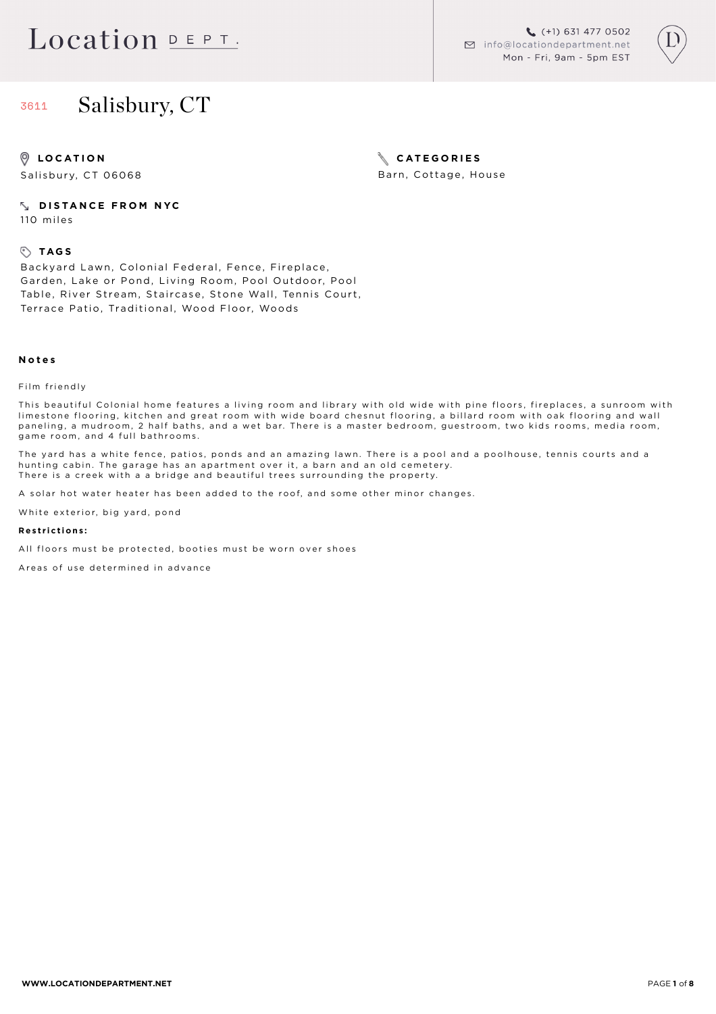$$
\left\langle \widehat{D}\right\rangle
$$

#### <sup>3611</sup> Salisbury, CT

#### **Q** LOCATION

Salisbury, CT 06068

**DISTANCE FROM NYC** 110 miles

#### *S* TAGS

Backyard Lawn, Colonial Federal, Fence, Fireplace, Garden, Lake or Pond, Living Room, Pool Outdoor, Pool Table, River Stream, Staircase, Stone Wall, Tennis Court, Terrace Patio, Traditional, Wood Floor, Woods

#### N o t e s

Film friendly

This beautiful Colonial home features a living room and library with old wide with pine floors, fireplaces, a sunroom with limestone flooring, kitchen and great room with wide board chesnut flooring, a billard room with oak flooring and wall paneling, a mudroom, 2 half baths, and a wet bar. There is a master bedroom, guestroom, two kids rooms, media room, game room, and 4 full bathrooms.

The yard has a white fence, patios, ponds and an amazing lawn. There is a pool and a poolhouse, tennis courts and a hunting cabin. The garage has an apartment over it, a barn and an old cemetery. There is a creek with a a bridge and beautiful trees surrounding the property.

A solar hot water heater has been added to the roof, and some other minor changes.

White exterior, big yard, pond

#### Restrictions:

All floors must be protected, booties must be worn over shoes

A reas of use determined in advance

**CATEGORIES** Barn, Cottage, House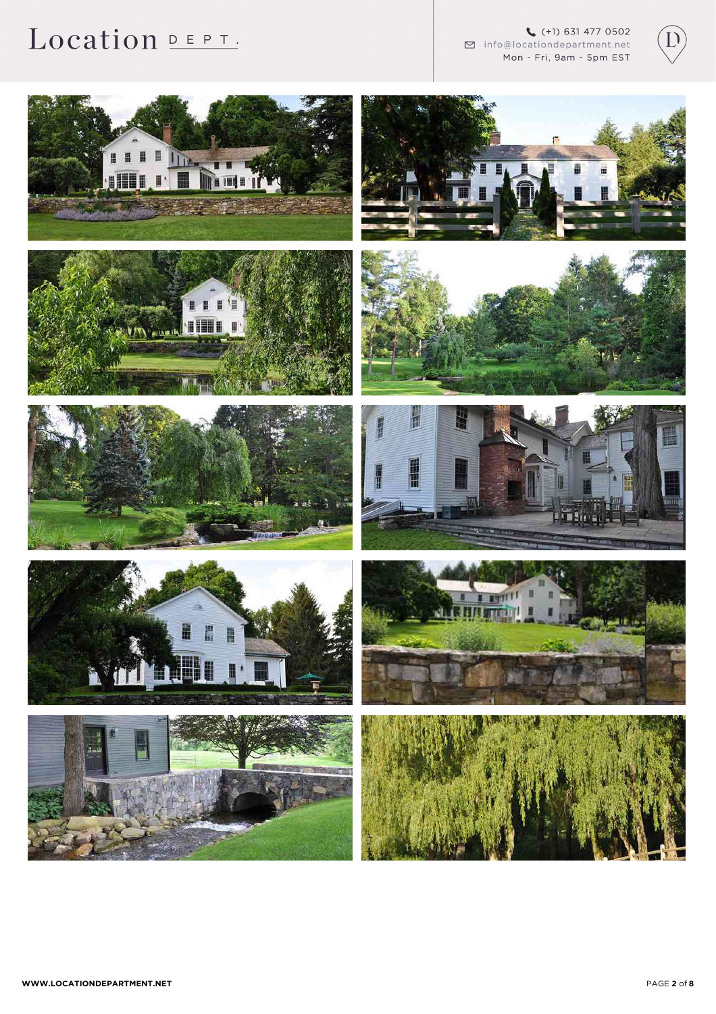

















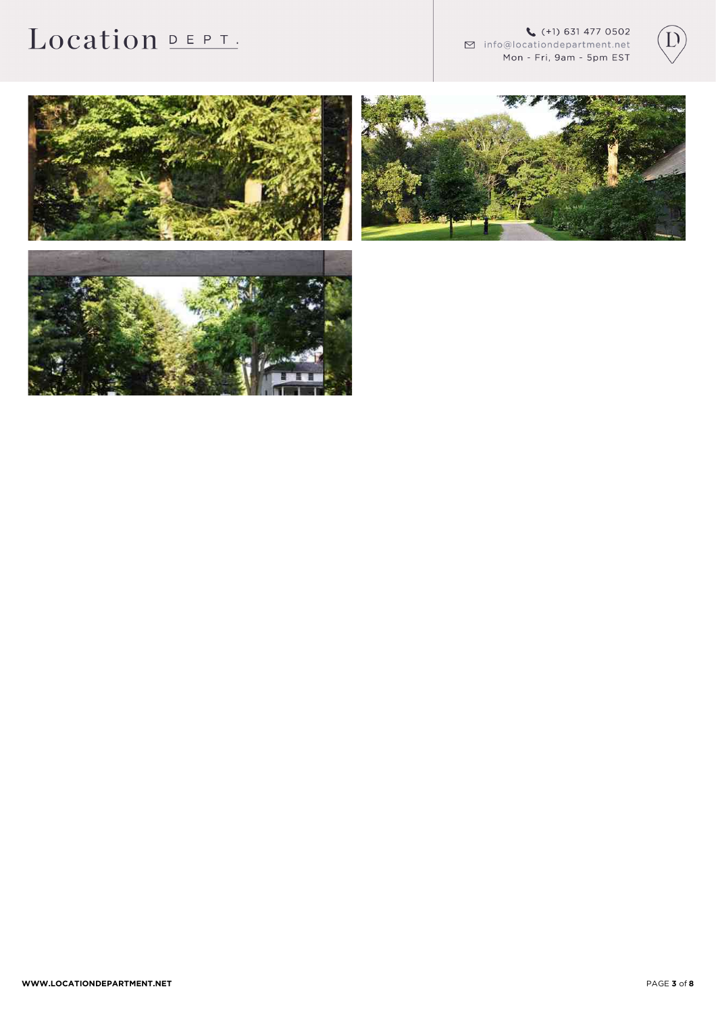





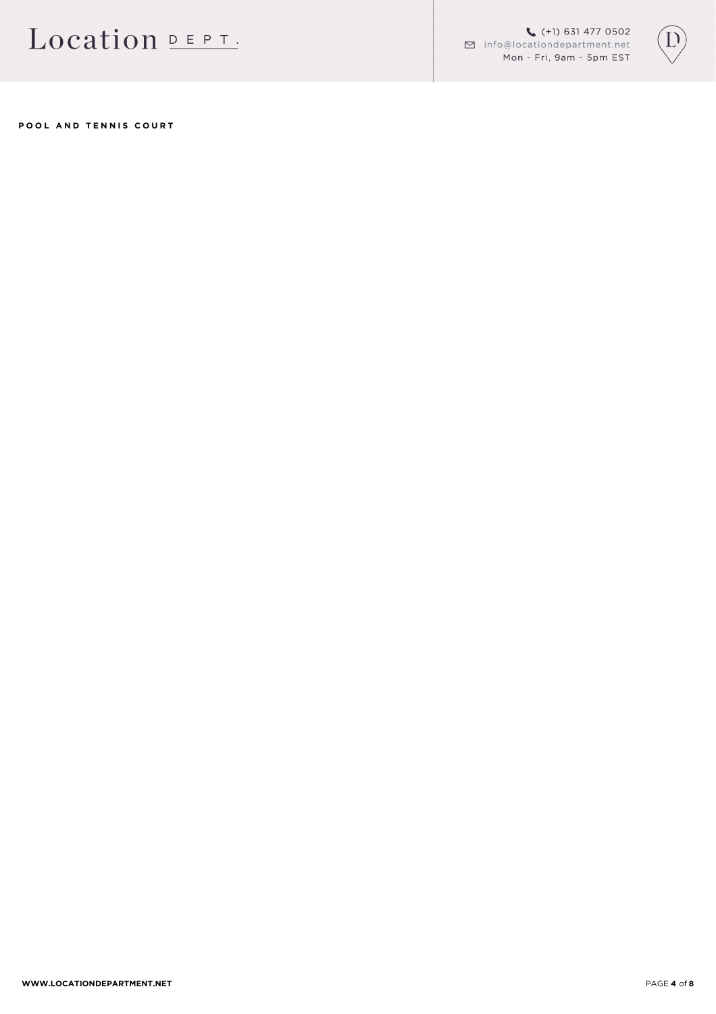$(+) 631 477 0502$ ◘ info@locationdepartment.net Mon - Fri, 9am - 5pm EST



POOL AND TENNIS COURT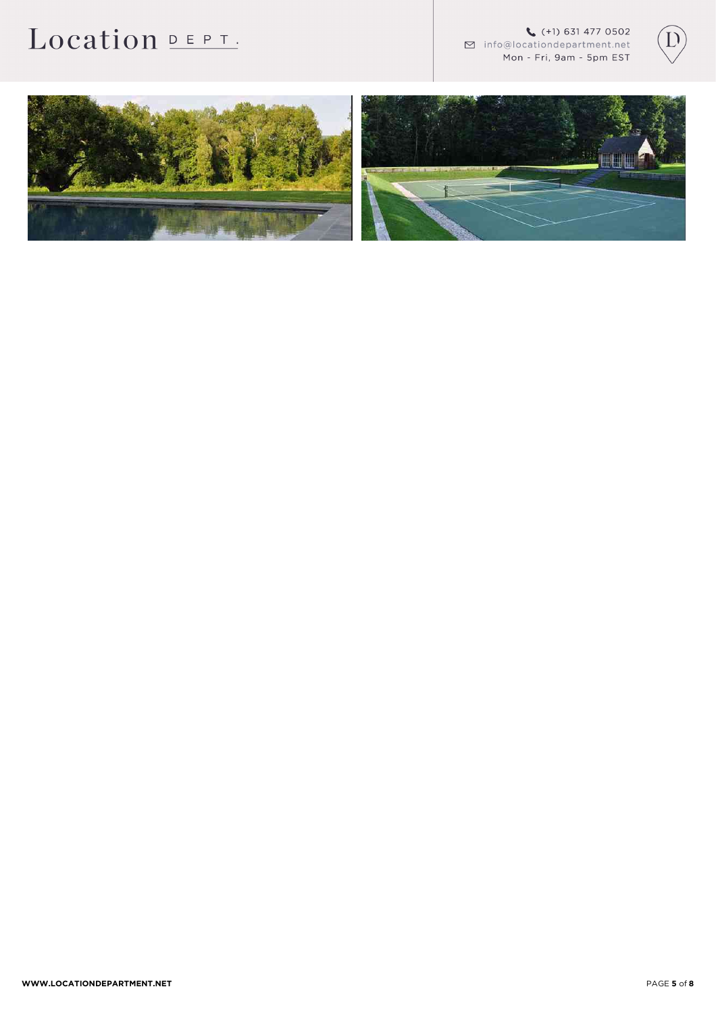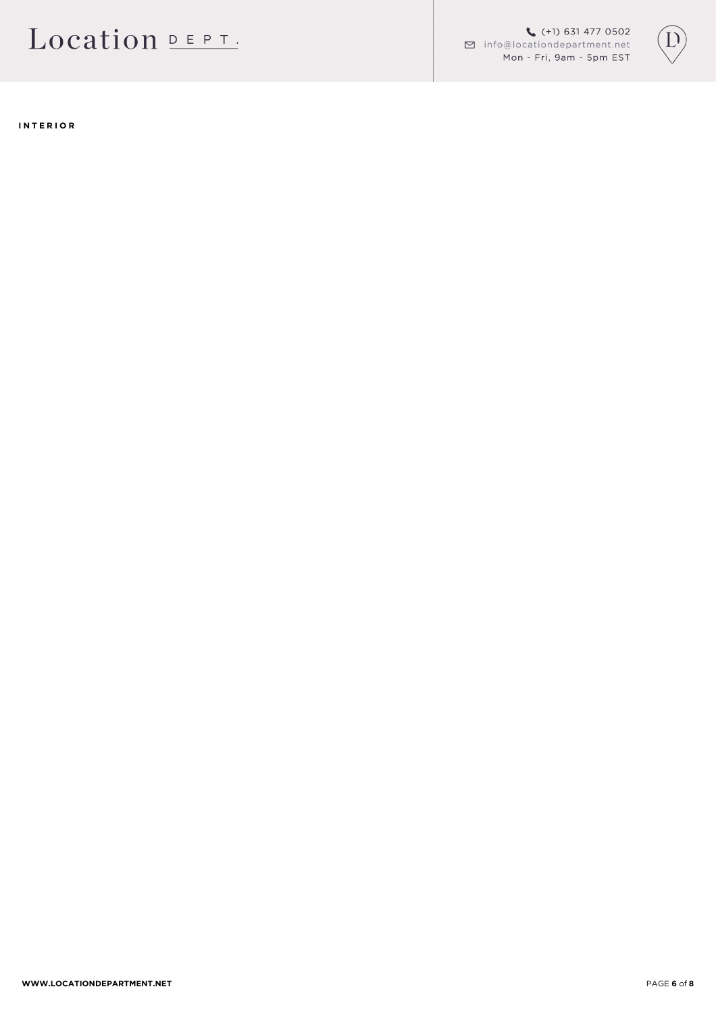$(+) 631 477 0502$ ◘ info@locationdepartment.net Mon - Fri, 9am - 5pm EST



I N T E R I O R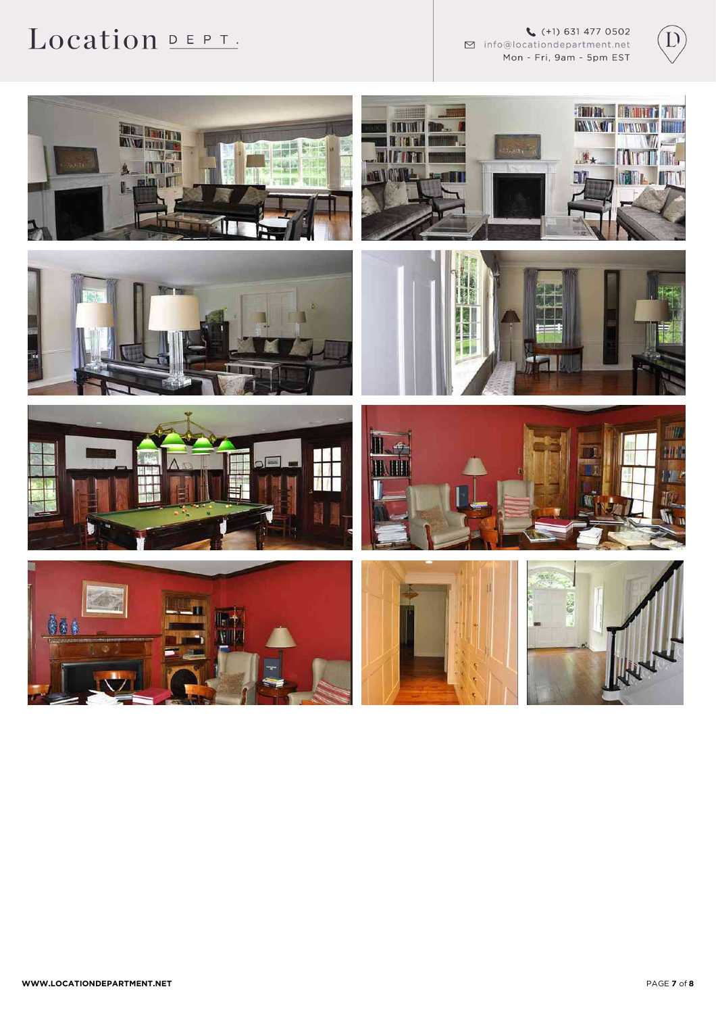